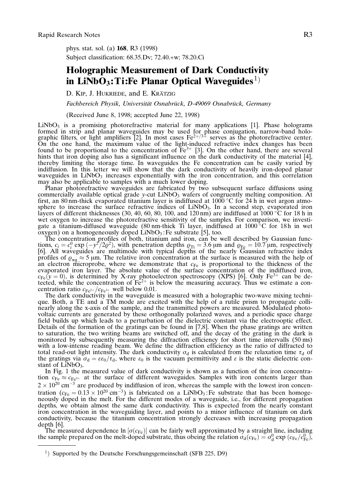phys. stat. sol. (a) 168, R3 (1998) Subject classification: 68.35.Dv; 72.40.+w; 78.20.Ci

## Holographic Measurement of Dark Conductivity in LiNbO<sub>3</sub>: Ti:Fe Planar Optical Waveguides<sup>1)</sup>

D. KIP, J. HUKRIEDE, and E. KRÄTZIG

Fachbereich Physik, Universität Osnabrück, D-49069 Osnabrück, Germany

(Received June 8, 1998; accepted June 22, 1998)

 $LiNbO<sub>3</sub>$  is a promising photorefractive material for many applications [1]. Phase holograms formed in strip and planar waveguides may be used for phase conjugation, narrow-band holographic filters, or light amplifiers [2]. In most cases  $Fe^{2+/3+}$  serves as the photorefractive center. On the one hand, the maximum value of the light-induced refractive index changes has been found to be proportional to the concentration of  $Fe^{3+}$  [3]. On the other hand, there are several hints that iron doping also has a significant influence on the dark conductivity of the material [4], thereby limiting the storage time. In waveguides the Fe concentration can be easily varied by indiffusion. In this letter we will show that the dark conductivity of heavily iron-doped planar waveguides in  $LiNbO<sub>3</sub>$  increases exponentially with the iron concentration, and this correlation may also be applicable to samples with a much lower doping.

Planar photorefractive waveguides are fabricated by two subsequent surface diffusions using commercially available optical grade y-cut  $LiNbO<sub>3</sub>$  wafers of congruently melting composition. At first, an 80 nm-thick evaporated titanium layer is indiffused at 1000 °C for 24 h in wet argon atmosphere to increase the surface refractive indices of  $LiNbO<sub>3</sub>$ . In a second step, evaporated iron layers of different thicknesses (30, 40, 60, 80, 100, and 120 nm) are indiffused at 1000 °C for 18 h in wet oxygen to increase the photorefractive sensitivity of the samples. For comparison, we investigate a titanium-diffused waveguide (80 nm-thick Ti layer, indiffused at  $1000^{\circ}$ C for 18h in wet  $\alpha$ ygen) on a homogeneously doped LiNbO<sub>3</sub>: Fe substrate [5], too.

The concentration profiles of both, titanium and iron, can be well described by Gaussian functions,  $c_i = c_i^0 \exp(-y^2/2\varrho^2)$ , with penetration depths  $\varrho_{Ti} = 3.6 \,\mu m$  and  $\varrho_{Fe} = 10.7 \,\mu m$ , respectively [6]. All waveguid profiles of  $\varrho_{wg} \approx 5$  µm. The relative iron concentration at the surface is measured with the help of an electron microprobe, where we demonstrate that  $c_{Fe}$  is proportional to the thickness of the evaporated iron layer. The absolute value of the surface concentration of the indiffused iron,  $c_{Fe}(y=0)$ , is determined by X-ray photoelectron spectroscopy (XPS) [6]. Only Fe<sup>3+</sup> can be detected, while the concentration of  $Fe^{2+}$  is below the measuring accuracy. Thus we estimate a concentration ratio  $c_{Fe^{2+}}/c_{Fe^{3+}}$  well below 0.01.

The dark conductivity in the waveguide is measured with a holographic two-wave mixing technique. Both, a TE and a TM mode are excited with the help of a rutile prism to propagate collinearly along the x-axis of the sample, and the transmitted powers are measured. Modulated photovoltaic currents are generated by these orthogonally polarized waves, and a periodic space charge field builds up which leads to a perturbation of the dielectric constant via the electrooptic effect. Details of the formation of the gratings can be found in [7,8]. When the phase gratings are written to saturation, the two writing beams are switched off, and the decay of the grating in the dark is monitored by subsequently measuring the diffraction efficiency for short time intervalls (50 ms) with a low-intense reading beam. We define the diffraction efficiency as the ratio of diffracted to total read-out light intensity. The dark conductivity  $\sigma_d$  is calculated from the relaxation time  $\tau_d$  of the gratings via  $\sigma_d = \varepsilon \varepsilon_0 / \tau_d$ , where  $\varepsilon_0$  is the vacuum permittivity and  $\varepsilon$  is the static dielectric constant of LiNbO<sub>3</sub>.

In Fig. 1 the measured value of dark conductivity is shown as a function of the iron concentration  $c_{Fe} \approx c_{Fe^{3+}}$  at the surface of different waveguides. Samples with iron contents larger than  $2 \times 10^{20}$  cm<sup>-3</sup> are produced by indiffusion of iron, whereas the sample with the lowest iron concentration  $(c_{Fe} = 0.13 \times 10^{20} \text{ cm}^{-3})$  is fabricated on a LiNbO<sub>3</sub>: Fe substrate that has been homogeneously doped in the melt. For the different modes of a waveguide, i.e., for different propagation depths, we obtain almost the same dark conductivity. This is expected from the nearly constant iron concentration in the waveguiding layer, and points to a minor influence of titanium on dark conductivity, because the titanium concentration strongly decreases with increasing propagation depth [6].

The measured dependence ln  $[\sigma(c_{Fe})]$  can be fairly well approximated by a straight line, including the sample prepared on the melt-doped substrate, thus obeing the relation  $\sigma_d(c_{Fe}) = \sigma_d^0 \exp(c_{Fe}/c_{Fe}^0)$ ,

<sup>&</sup>lt;sup>1</sup>) Supported by the Deutsche Forschungsgemeinschaft (SFB 225, D9)